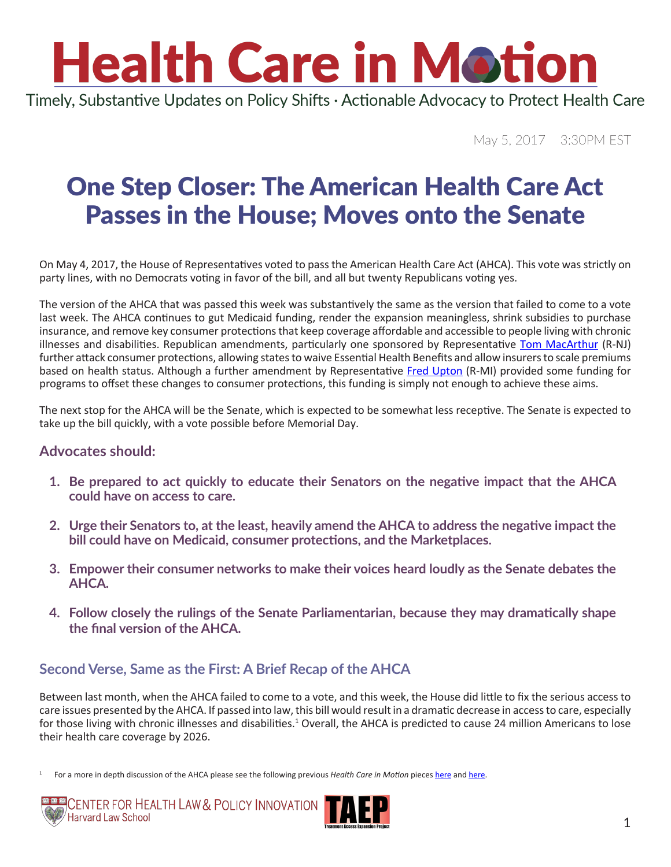Timely, Substantive Updates on Policy Shifts · Actionable Advocacy to Protect Health Care

May 5, 2017 3:30PM EST

### One Step Closer: The American Health Care Act Passes in the House; Moves onto the Senate

On May 4, 2017, the House of Representatives voted to pass the American Health Care Act (AHCA). This vote was strictly on party lines, with no Democrats voting in favor of the bill, and all but twenty Republicans voting yes.

The version of the AHCA that was passed this week was substantively the same as the version that failed to come to a vote last week. The AHCA continues to gut Medicaid funding, render the expansion meaningless, shrink subsidies to purchase insurance, and remove key consumer protections that keep coverage affordable and accessible to people living with chronic illnesses and disabilities. Republican amendments, particularly one sponsored by Representative [Tom MacArthur](https://macarthur.house.gov/contact) (R-NJ) further attack consumer protections, allowing states to waive Essential Health Benefits and allow insurers to scale premiums based on health status. Although a further amendment by Representative [Fred Upton](http://upton.house.gov/contact/) (R-MI) provided some funding for programs to offset these changes to consumer protections, this funding is simply not enough to achieve these aims.

The next stop for the AHCA will be the Senate, which is expected to be somewhat less receptive. The Senate is expected to take up the bill quickly, with a vote possible before Memorial Day.

#### **Advocates should:**

- **1. Be prepared to act quickly to educate their Senators on the negative impact that the AHCA could have on access to care.**
- **2. Urge their Senators to, at the least, heavily amend the AHCA to address the negative impact the bill could have on Medicaid, consumer protections, and the Marketplaces.**
- **3. Empower their consumer networks to make their voices heard loudly as the Senate debates the AHCA.**
- **4. Follow closely the rulings of the Senate Parliamentarian, because they may dramatically shape the final version of the AHCA.**

#### **Second Verse, Same as the First: A Brief Recap of the AHCA**

Between last month, when the AHCA failed to come to a vote, and this week, the House did little to fix the serious access to care issues presented by the AHCA. If passed into law, this bill would result in a dramatic decrease in access to care, especially for those living with chronic illnesses and disabilities.<sup>1</sup> Overall, the AHCA is predicted to cause 24 million Americans to lose their health care coverage by 2026.

<sup>1</sup> For a more in depth discussion of the AHCA please see the following previous *Health Care in Motion* pieces [here](http://www.chlpi.org/wp-content/uploads/2013/12/Health-Care-in-Motion_03_07_2017.pdf) and [here](http://www.chlpi.org/wp-content/uploads/2013/12/Health-Care-in-Motion_03_14_2017.pdf).



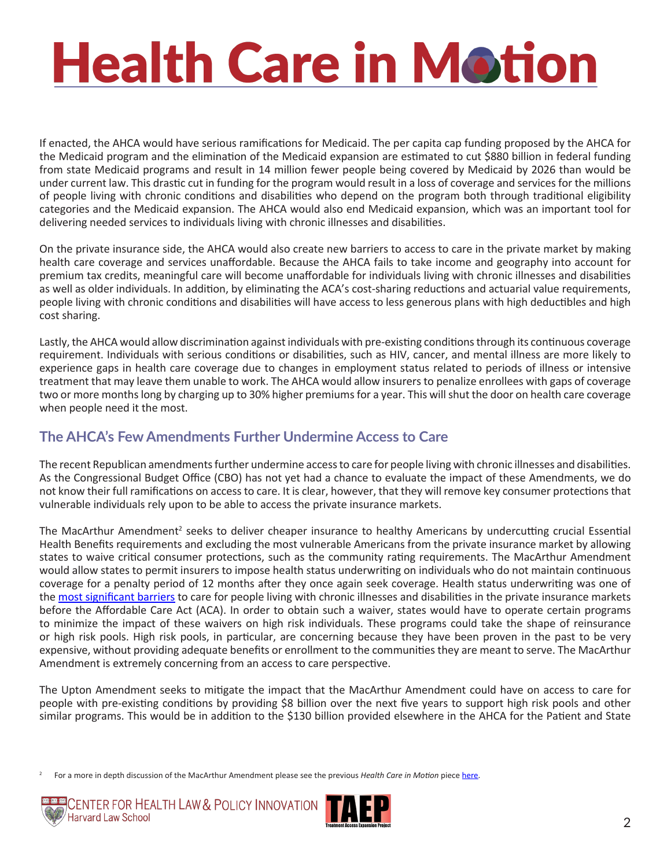If enacted, the AHCA would have serious ramifications for Medicaid. The per capita cap funding proposed by the AHCA for the Medicaid program and the elimination of the Medicaid expansion are estimated to cut \$880 billion in federal funding from state Medicaid programs and result in 14 million fewer people being covered by Medicaid by 2026 than would be under current law. This drastic cut in funding for the program would result in a loss of coverage and services for the millions of people living with chronic conditions and disabilities who depend on the program both through traditional eligibility categories and the Medicaid expansion. The AHCA would also end Medicaid expansion, which was an important tool for delivering needed services to individuals living with chronic illnesses and disabilities.

On the private insurance side, the AHCA would also create new barriers to access to care in the private market by making health care coverage and services unaffordable. Because the AHCA fails to take income and geography into account for premium tax credits, meaningful care will become unaffordable for individuals living with chronic illnesses and disabilities as well as older individuals. In addition, by eliminating the ACA's cost-sharing reductions and actuarial value requirements, people living with chronic conditions and disabilities will have access to less generous plans with high deductibles and high cost sharing.

Lastly, the AHCA would allow discrimination against individuals with pre-existing conditions through its continuous coverage requirement. Individuals with serious conditions or disabilities, such as HIV, cancer, and mental illness are more likely to experience gaps in health care coverage due to changes in employment status related to periods of illness or intensive treatment that may leave them unable to work. The AHCA would allow insurers to penalize enrollees with gaps of coverage two or more months long by charging up to 30% higher premiums for a year. This will shut the door on health care coverage when people need it the most.

#### **The AHCA's Few Amendments Further Undermine Access to Care**

The recent Republican amendments further undermine access to care for people living with chronic illnesses and disabilities. As the Congressional Budget Office (CBO) has not yet had a chance to evaluate the impact of these Amendments, we do not know their full ramifications on access to care. It is clear, however, that they will remove key consumer protections that vulnerable individuals rely upon to be able to access the private insurance markets.

The MacArthur Amendment<sup>2</sup> seeks to deliver cheaper insurance to healthy Americans by undercutting crucial Essential Health Benefits requirements and excluding the most vulnerable Americans from the private insurance market by allowing states to waive critical consumer protections, such as the community rating requirements. The MacArthur Amendment would allow states to permit insurers to impose health status underwriting on individuals who do not maintain continuous coverage for a penalty period of 12 months after they once again seek coverage. Health status underwriting was one of the [most significant barriers](https://aspe.hhs.gov/system/files/pdf/255396/Pre-ExistingConditions.pdf) to care for people living with chronic illnesses and disabilities in the private insurance markets before the Affordable Care Act (ACA). In order to obtain such a waiver, states would have to operate certain programs to minimize the impact of these waivers on high risk individuals. These programs could take the shape of reinsurance or high risk pools. High risk pools, in particular, are concerning because they have been proven in the past to be very expensive, without providing adequate benefits or enrollment to the communities they are meant to serve. The MacArthur Amendment is extremely concerning from an access to care perspective.

The Upton Amendment seeks to mitigate the impact that the MacArthur Amendment could have on access to care for people with pre-existing conditions by providing \$8 billion over the next five years to support high risk pools and other similar programs. This would be in addition to the \$130 billion provided elsewhere in the AHCA for the Patient and State

<sup>2</sup> For a more in depth discussion of the MacArthur Amendment please see the previous *Health Care in Motion* piece [here](http://www.chlpi.org/wp-content/uploads/2013/12/HCIM_04_28_2017.pdf).



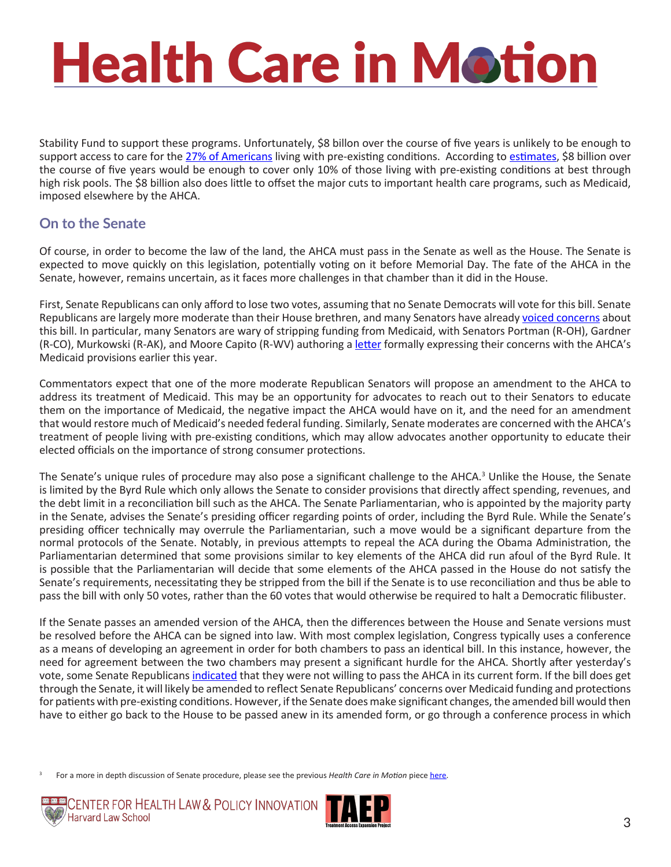Stability Fund to support these programs. Unfortunately, \$8 billon over the course of five years is unlikely to be enough to support access to care for the [27% of Americans](http://kff.org/health-reform/issue-brief/pre-existing-conditions-and-medical-underwriting-in-the-individual-insurance-market-prior-to-the-aca/) living with pre-existing conditions. According to [estimates](http://familiesusa.org/blog/2017/05/reported-upton-long-amendment-does-virtually-nothing-address-coverage-people-pre), \$8 billion over the course of five years would be enough to cover only 10% of those living with pre-existing conditions at best through high risk pools. The \$8 billion also does little to offset the major cuts to important health care programs, such as Medicaid, imposed elsewhere by the AHCA.

#### **On to the Senate**

Of course, in order to become the law of the land, the AHCA must pass in the Senate as well as the House. The Senate is expected to move quickly on this legislation, potentially voting on it before Memorial Day. The fate of the AHCA in the Senate, however, remains uncertain, as it faces more challenges in that chamber than it did in the House.

First, Senate Republicans can only afford to lose two votes, assuming that no Senate Democrats will vote for this bill. Senate Republicans are largely more moderate than their House brethren, and many Senators have already [voiced concerns](https://www.vox.com/policy-and-politics/2017/5/4/15542792/senate-republicans-health-care-bill) about this bill. In particular, many Senators are wary of stripping funding from Medicaid, with Senators Portman (R-OH), Gardner (R-CO), Murkowski (R-AK), and Moore Capito (R-WV) authoring a [letter](http://www.washingtonexaminer.com/four-gop-senators-reject-early-house-obamacare-replacement-draft/article/2616599) formally expressing their concerns with the AHCA's Medicaid provisions earlier this year.

Commentators expect that one of the more moderate Republican Senators will propose an amendment to the AHCA to address its treatment of Medicaid. This may be an opportunity for advocates to reach out to their Senators to educate them on the importance of Medicaid, the negative impact the AHCA would have on it, and the need for an amendment that would restore much of Medicaid's needed federal funding. Similarly, Senate moderates are concerned with the AHCA's treatment of people living with pre-existing conditions, which may allow advocates another opportunity to educate their elected officials on the importance of strong consumer protections.

The Senate's unique rules of procedure may also pose a significant challenge to the AHCA.<sup>3</sup> Unlike the House, the Senate is limited by the Byrd Rule which only allows the Senate to consider provisions that directly affect spending, revenues, and the debt limit in a reconciliation bill such as the AHCA. The Senate Parliamentarian, who is appointed by the majority party in the Senate, advises the Senate's presiding officer regarding points of order, including the Byrd Rule. While the Senate's presiding officer technically may overrule the Parliamentarian, such a move would be a significant departure from the normal protocols of the Senate. Notably, in previous attempts to repeal the ACA during the Obama Administration, the Parliamentarian determined that some provisions similar to key elements of the AHCA did run afoul of the Byrd Rule. It is possible that the Parliamentarian will decide that some elements of the AHCA passed in the House do not satisfy the Senate's requirements, necessitating they be stripped from the bill if the Senate is to use reconciliation and thus be able to pass the bill with only 50 votes, rather than the 60 votes that would otherwise be required to halt a Democratic filibuster.

If the Senate passes an amended version of the AHCA, then the differences between the House and Senate versions must be resolved before the AHCA can be signed into law. With most complex legislation, Congress typically uses a conference as a means of developing an agreement in order for both chambers to pass an identical bill. In this instance, however, the need for agreement between the two chambers may present a significant hurdle for the AHCA. Shortly after yesterday's vote, some Senate Republicans [indicated](http://www.politico.com/story/2017/05/04/house-health-care-bill-senate-doa-238000) that they were not willing to pass the AHCA in its current form. If the bill does get through the Senate, it will likely be amended to reflect Senate Republicans' concerns over Medicaid funding and protections for patients with pre-existing conditions. However, if the Senate does make significant changes, the amended bill would then have to either go back to the House to be passed anew in its amended form, or go through a conference process in which

3 For a more in depth discussion of Senate procedure, please see the previous *Health Care in Motion* piece [here](http://www.chlpi.org/wp-content/uploads/2013/12/Repeal-Reconciliation-and-Review-circulation2.pdf).